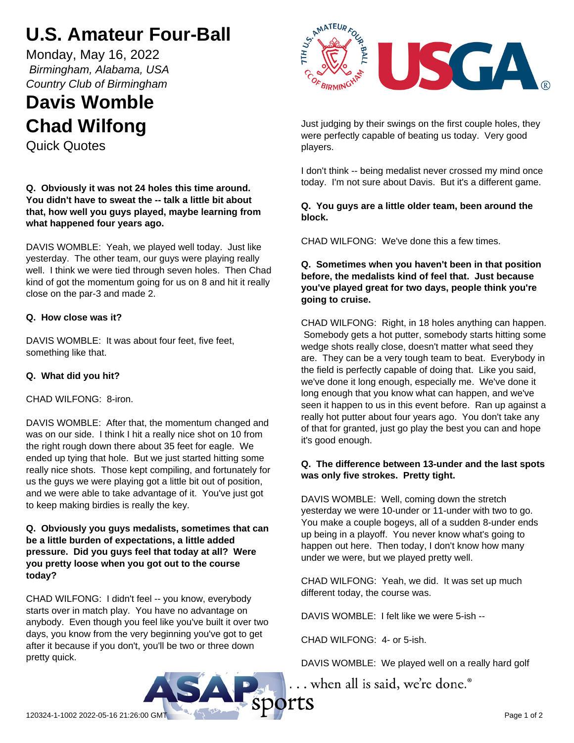# **U.S. Amateur Four-Ball**

Monday, May 16, 2022  *Birmingham, Alabama, USA Country Club of Birmingham*

# **Davis Womble Chad Wilfong**

Quick Quotes

### **Q. Obviously it was not 24 holes this time around. You didn't have to sweat the -- talk a little bit about that, how well you guys played, maybe learning from what happened four years ago.**

DAVIS WOMBLE: Yeah, we played well today. Just like yesterday. The other team, our guys were playing really well. I think we were tied through seven holes. Then Chad kind of got the momentum going for us on 8 and hit it really close on the par-3 and made 2.

# **Q. How close was it?**

DAVIS WOMBLE: It was about four feet, five feet, something like that.

# **Q. What did you hit?**

CHAD WILFONG: 8-iron.

DAVIS WOMBLE: After that, the momentum changed and was on our side. I think I hit a really nice shot on 10 from the right rough down there about 35 feet for eagle. We ended up tying that hole. But we just started hitting some really nice shots. Those kept compiling, and fortunately for us the guys we were playing got a little bit out of position, and we were able to take advantage of it. You've just got to keep making birdies is really the key.

#### **Q. Obviously you guys medalists, sometimes that can be a little burden of expectations, a little added pressure. Did you guys feel that today at all? Were you pretty loose when you got out to the course today?**

CHAD WILFONG: I didn't feel -- you know, everybody starts over in match play. You have no advantage on anybody. Even though you feel like you've built it over two days, you know from the very beginning you've got to get after it because if you don't, you'll be two or three down pretty quick.



Just judging by their swings on the first couple holes, they were perfectly capable of beating us today. Very good players.

I don't think -- being medalist never crossed my mind once today. I'm not sure about Davis. But it's a different game.

### **Q. You guys are a little older team, been around the block.**

CHAD WILFONG: We've done this a few times.

#### **Q. Sometimes when you haven't been in that position before, the medalists kind of feel that. Just because you've played great for two days, people think you're going to cruise.**

CHAD WILFONG: Right, in 18 holes anything can happen. Somebody gets a hot putter, somebody starts hitting some wedge shots really close, doesn't matter what seed they are. They can be a very tough team to beat. Everybody in the field is perfectly capable of doing that. Like you said, we've done it long enough, especially me. We've done it long enough that you know what can happen, and we've seen it happen to us in this event before. Ran up against a really hot putter about four years ago. You don't take any of that for granted, just go play the best you can and hope it's good enough.

# **Q. The difference between 13-under and the last spots was only five strokes. Pretty tight.**

DAVIS WOMBLE: Well, coming down the stretch yesterday we were 10-under or 11-under with two to go. You make a couple bogeys, all of a sudden 8-under ends up being in a playoff. You never know what's going to happen out here. Then today, I don't know how many under we were, but we played pretty well.

CHAD WILFONG: Yeah, we did. It was set up much different today, the course was.

DAVIS WOMBLE: I felt like we were 5-ish --

CHAD WILFONG: 4- or 5-ish.

DAVIS WOMBLE: We played well on a really hard golf

... when all is said, we're done.<sup>®</sup>